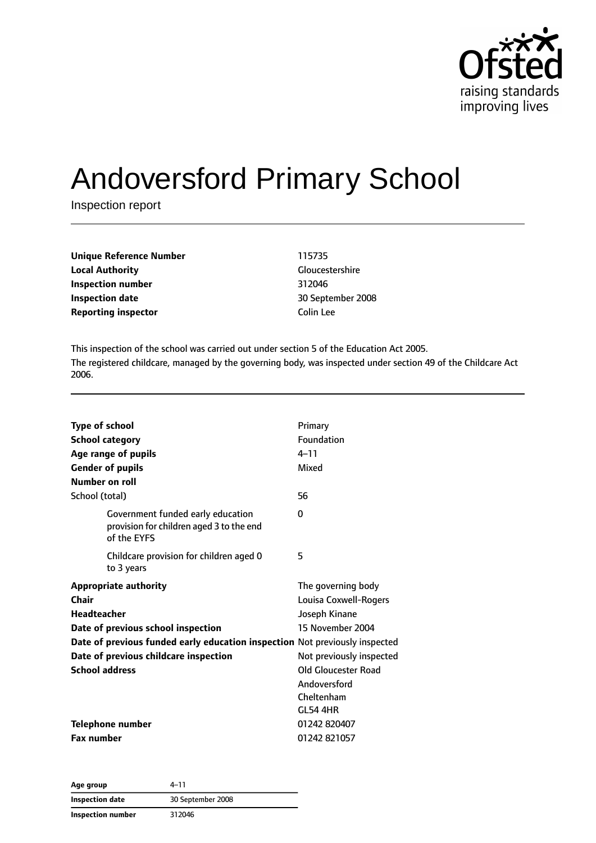

# Andoversford Primary School

Inspection report

| <b>Unique Reference Number</b> | 115735   |
|--------------------------------|----------|
| <b>Local Authority</b>         | Glouces  |
| Inspection number              | 312046   |
| Inspection date                | 30 Sept  |
| <b>Reporting inspector</b>     | Colin Le |

**Gloucestershire Inspection number** 312046 **Inspection date** 30 September 2008 **Colin Lee** 

This inspection of the school was carried out under section 5 of the Education Act 2005. The registered childcare, managed by the governing body, was inspected under section 49 of the Childcare Act 2006.

| <b>Type of school</b><br><b>School category</b><br>Age range of pupils<br><b>Gender of pupils</b><br>Number on roll | Primary<br>Foundation<br>$4 - 11$<br>Mixed |
|---------------------------------------------------------------------------------------------------------------------|--------------------------------------------|
| School (total)                                                                                                      | 56                                         |
| Government funded early education<br>provision for children aged 3 to the end<br>of the EYFS                        | 0                                          |
| Childcare provision for children aged 0<br>to 3 years                                                               | 5                                          |
| <b>Appropriate authority</b>                                                                                        | The governing body                         |
| <b>Chair</b>                                                                                                        | Louisa Coxwell-Rogers                      |
| <b>Headteacher</b>                                                                                                  | Joseph Kinane                              |
| Date of previous school inspection                                                                                  | 15 November 2004                           |
| Date of previous funded early education inspection Not previously inspected                                         |                                            |
| Date of previous childcare inspection                                                                               | Not previously inspected                   |
| <b>School address</b>                                                                                               | Old Gloucester Road                        |
|                                                                                                                     | Andoversford                               |
|                                                                                                                     | Cheltenham                                 |
|                                                                                                                     | <b>GL54 4HR</b>                            |
| <b>Telephone number</b>                                                                                             | 01242 820407                               |
| <b>Fax number</b>                                                                                                   | 01242 821057                               |

**Age group** 4–11 **Inspection date** 30 September 2008 **Inspection number** 312046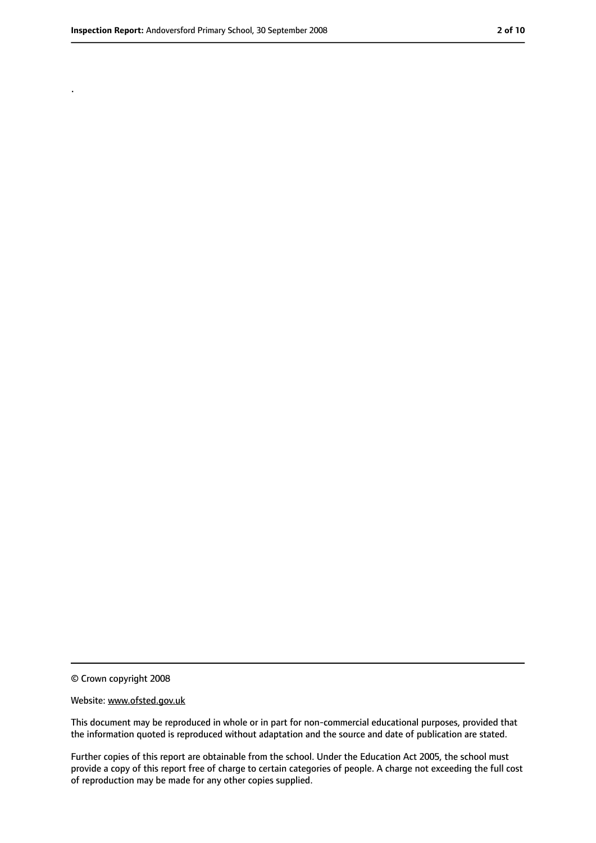.

<sup>©</sup> Crown copyright 2008

Website: www.ofsted.gov.uk

This document may be reproduced in whole or in part for non-commercial educational purposes, provided that the information quoted is reproduced without adaptation and the source and date of publication are stated.

Further copies of this report are obtainable from the school. Under the Education Act 2005, the school must provide a copy of this report free of charge to certain categories of people. A charge not exceeding the full cost of reproduction may be made for any other copies supplied.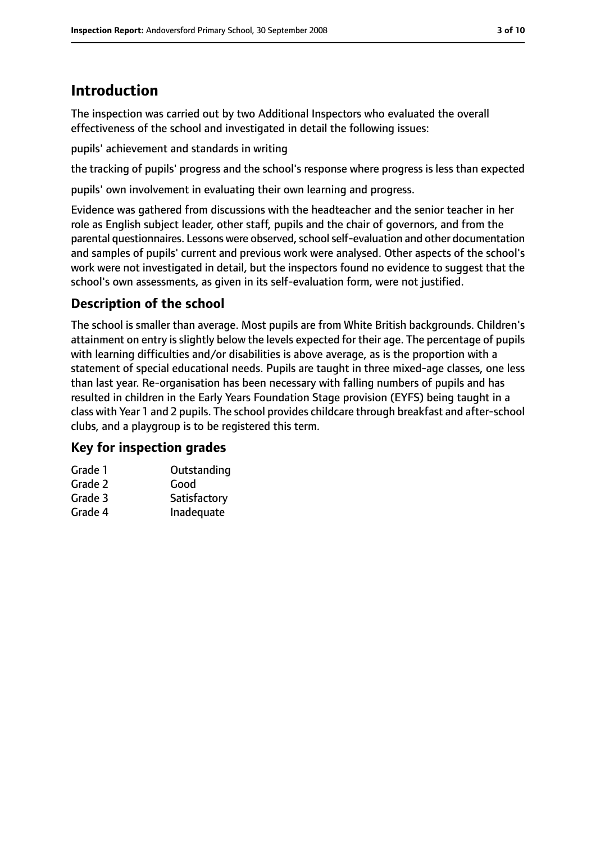# **Introduction**

The inspection was carried out by two Additional Inspectors who evaluated the overall effectiveness of the school and investigated in detail the following issues:

pupils' achievement and standards in writing

the tracking of pupils' progress and the school's response where progress is less than expected

pupils' own involvement in evaluating their own learning and progress.

Evidence was gathered from discussions with the headteacher and the senior teacher in her role as English subject leader, other staff, pupils and the chair of governors, and from the parental questionnaires. Lessons were observed, school self-evaluation and other documentation and samples of pupils' current and previous work were analysed. Other aspects of the school's work were not investigated in detail, but the inspectors found no evidence to suggest that the school's own assessments, as given in its self-evaluation form, were not justified.

## **Description of the school**

The school is smaller than average. Most pupils are from White British backgrounds. Children's attainment on entry is slightly below the levels expected for their age. The percentage of pupils with learning difficulties and/or disabilities is above average, as is the proportion with a statement of special educational needs. Pupils are taught in three mixed-age classes, one less than last year. Re-organisation has been necessary with falling numbers of pupils and has resulted in children in the Early Years Foundation Stage provision (EYFS) being taught in a class with Year 1 and 2 pupils. The school provides childcare through breakfast and after-school clubs, and a playgroup is to be registered this term.

#### **Key for inspection grades**

| Outstanding  |
|--------------|
| Good         |
| Satisfactory |
| Inadequate   |
|              |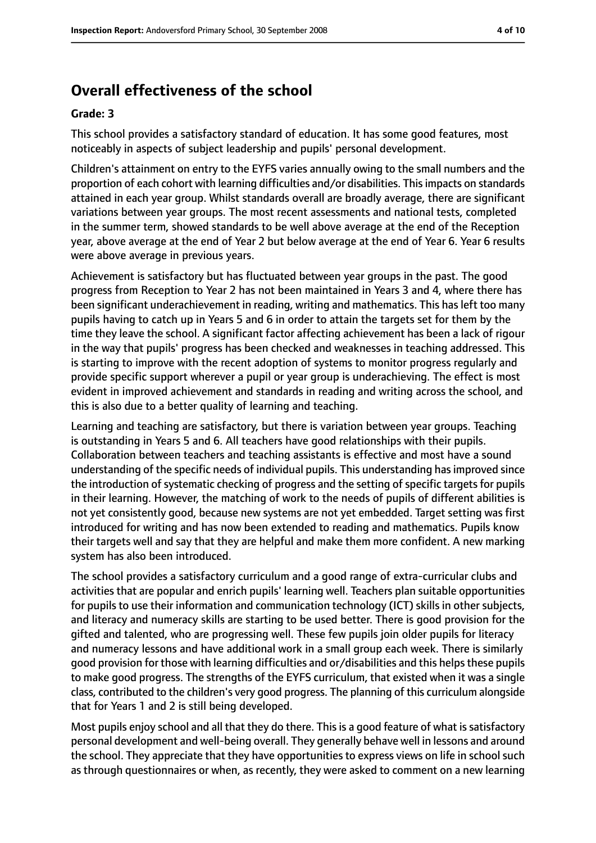## **Overall effectiveness of the school**

#### **Grade: 3**

This school provides a satisfactory standard of education. It has some good features, most noticeably in aspects of subject leadership and pupils' personal development.

Children's attainment on entry to the EYFS varies annually owing to the small numbers and the proportion of each cohort with learning difficulties and/or disabilities. Thisimpacts on standards attained in each year group. Whilst standards overall are broadly average, there are significant variations between year groups. The most recent assessments and national tests, completed in the summer term, showed standards to be well above average at the end of the Reception year, above average at the end of Year 2 but below average at the end of Year 6. Year 6 results were above average in previous years.

Achievement is satisfactory but has fluctuated between year groups in the past. The good progress from Reception to Year 2 has not been maintained in Years 3 and 4, where there has been significant underachievement in reading, writing and mathematics. This has left too many pupils having to catch up in Years 5 and 6 in order to attain the targets set for them by the time they leave the school. A significant factor affecting achievement has been a lack of rigour in the way that pupils' progress has been checked and weaknesses in teaching addressed. This is starting to improve with the recent adoption of systems to monitor progress regularly and provide specific support wherever a pupil or year group is underachieving. The effect is most evident in improved achievement and standards in reading and writing across the school, and this is also due to a better quality of learning and teaching.

Learning and teaching are satisfactory, but there is variation between year groups. Teaching is outstanding in Years 5 and 6. All teachers have good relationships with their pupils. Collaboration between teachers and teaching assistants is effective and most have a sound understanding of the specific needs of individual pupils. This understanding has improved since the introduction of systematic checking of progress and the setting of specific targets for pupils in their learning. However, the matching of work to the needs of pupils of different abilities is not yet consistently good, because new systems are not yet embedded. Target setting was first introduced for writing and has now been extended to reading and mathematics. Pupils know their targets well and say that they are helpful and make them more confident. A new marking system has also been introduced.

The school provides a satisfactory curriculum and a good range of extra-curricular clubs and activities that are popular and enrich pupils' learning well. Teachers plan suitable opportunities for pupils to use their information and communication technology (ICT) skills in other subjects, and literacy and numeracy skills are starting to be used better. There is good provision for the gifted and talented, who are progressing well. These few pupils join older pupils for literacy and numeracy lessons and have additional work in a small group each week. There is similarly good provision for those with learning difficulties and or/disabilities and this helpsthese pupils to make good progress. The strengths of the EYFS curriculum, that existed when it was a single class, contributed to the children's very good progress. The planning of this curriculum alongside that for Years 1 and 2 is still being developed.

Most pupils enjoy school and all that they do there. This is a good feature of what is satisfactory personal development and well-being overall. They generally behave well in lessons and around the school. They appreciate that they have opportunities to express views on life in school such as through questionnaires or when, as recently, they were asked to comment on a new learning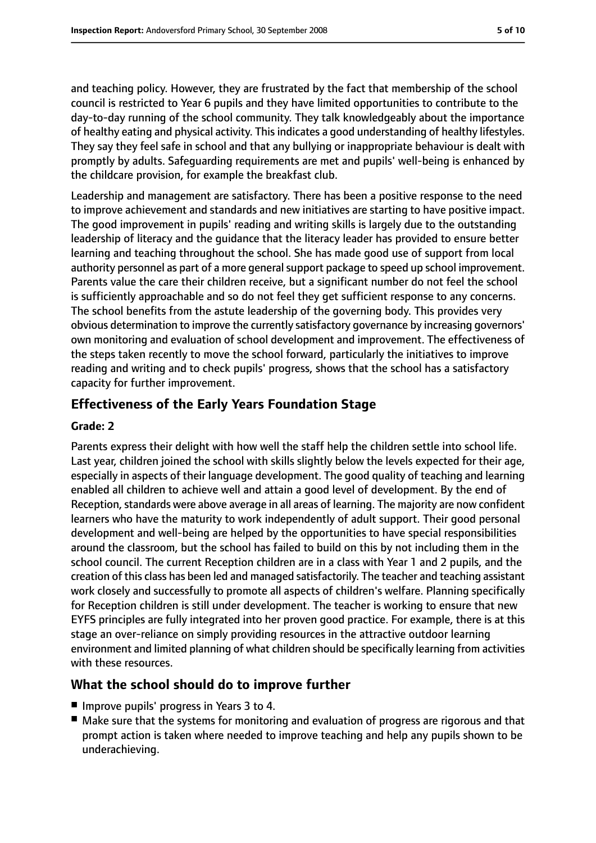and teaching policy. However, they are frustrated by the fact that membership of the school council is restricted to Year 6 pupils and they have limited opportunities to contribute to the day-to-day running of the school community. They talk knowledgeably about the importance of healthy eating and physical activity. Thisindicates a good understanding of healthy lifestyles. They say they feel safe in school and that any bullying or inappropriate behaviour is dealt with promptly by adults. Safeguarding requirements are met and pupils' well-being is enhanced by the childcare provision, for example the breakfast club.

Leadership and management are satisfactory. There has been a positive response to the need to improve achievement and standards and new initiatives are starting to have positive impact. The good improvement in pupils' reading and writing skills is largely due to the outstanding leadership of literacy and the guidance that the literacy leader has provided to ensure better learning and teaching throughout the school. She has made good use of support from local authority personnel as part of a more general support package to speed up school improvement. Parents value the care their children receive, but a significant number do not feel the school is sufficiently approachable and so do not feel they get sufficient response to any concerns. The school benefits from the astute leadership of the governing body. This provides very obvious determination to improve the currently satisfactory governance by increasing governors' own monitoring and evaluation of school development and improvement. The effectiveness of the steps taken recently to move the school forward, particularly the initiatives to improve reading and writing and to check pupils' progress, shows that the school has a satisfactory capacity for further improvement.

#### **Effectiveness of the Early Years Foundation Stage**

#### **Grade: 2**

Parents express their delight with how well the staff help the children settle into school life. Last year, children joined the school with skills slightly below the levels expected for their age, especially in aspects of their language development. The good quality of teaching and learning enabled all children to achieve well and attain a good level of development. By the end of Reception, standards were above average in all areas of learning. The majority are now confident learners who have the maturity to work independently of adult support. Their good personal development and well-being are helped by the opportunities to have special responsibilities around the classroom, but the school has failed to build on this by not including them in the school council. The current Reception children are in a class with Year 1 and 2 pupils, and the creation of this class has been led and managed satisfactorily. The teacher and teaching assistant work closely and successfully to promote all aspects of children's welfare. Planning specifically for Reception children is still under development. The teacher is working to ensure that new EYFS principles are fully integrated into her proven good practice. For example, there is at this stage an over-reliance on simply providing resources in the attractive outdoor learning environment and limited planning of what children should be specifically learning from activities with these resources.

#### **What the school should do to improve further**

- Improve pupils' progress in Years 3 to 4.
- Make sure that the systems for monitoring and evaluation of progress are rigorous and that prompt action is taken where needed to improve teaching and help any pupils shown to be underachieving.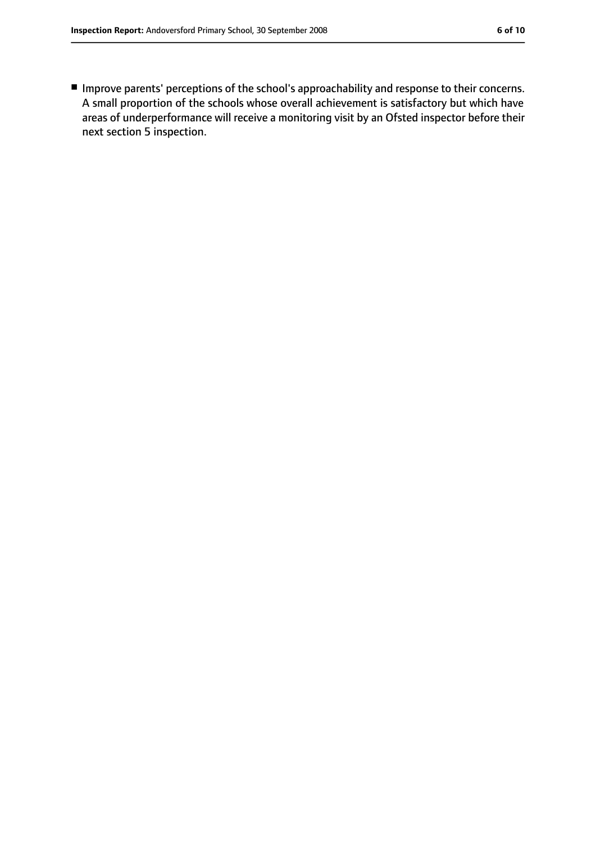■ Improve parents' perceptions of the school's approachability and response to their concerns. A small proportion of the schools whose overall achievement is satisfactory but which have areas of underperformance will receive a monitoring visit by an Ofsted inspector before their next section 5 inspection.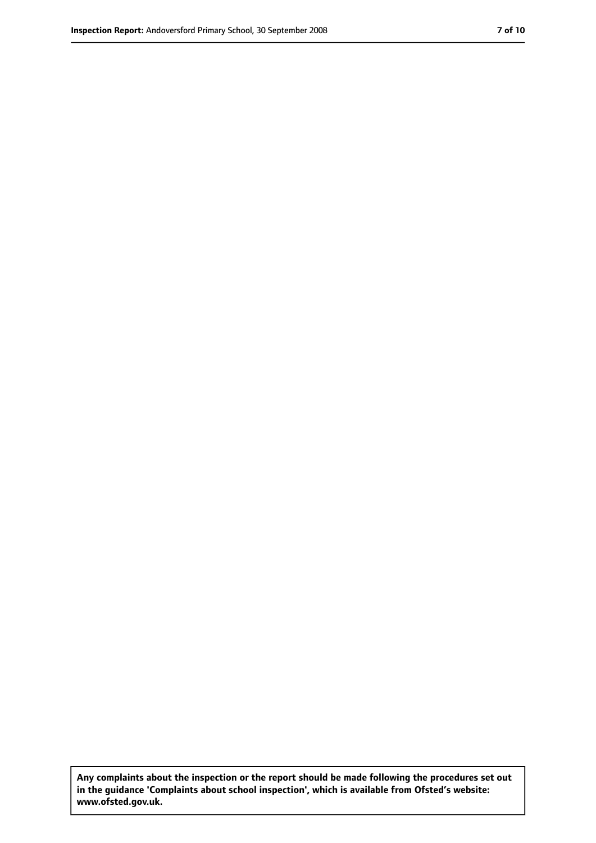**Any complaints about the inspection or the report should be made following the procedures set out in the guidance 'Complaints about school inspection', which is available from Ofsted's website: www.ofsted.gov.uk.**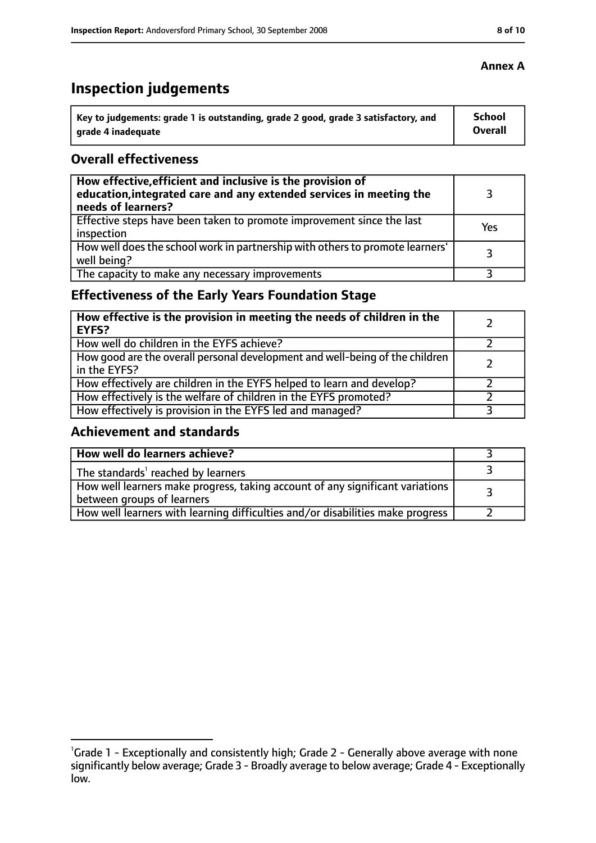# **Inspection judgements**

| Key to judgements: grade 1 is outstanding, grade 2 good, grade 3 satisfactory, and | <b>School</b>  |
|------------------------------------------------------------------------------------|----------------|
| arade 4 inadequate                                                                 | <b>Overall</b> |

#### **Overall effectiveness**

| How effective, efficient and inclusive is the provision of<br>education, integrated care and any extended services in meeting the<br>needs of learners? |     |
|---------------------------------------------------------------------------------------------------------------------------------------------------------|-----|
| Effective steps have been taken to promote improvement since the last<br>inspection                                                                     | Yes |
| How well does the school work in partnership with others to promote learners'<br>well being?                                                            | 3   |
| The capacity to make any necessary improvements                                                                                                         |     |

## **Effectiveness of the Early Years Foundation Stage**

| How effective is the provision in meeting the needs of children in the<br>EYFS?              |  |
|----------------------------------------------------------------------------------------------|--|
| How well do children in the EYFS achieve?                                                    |  |
| How good are the overall personal development and well-being of the children<br>in the EYFS? |  |
| How effectively are children in the EYFS helped to learn and develop?                        |  |
| How effectively is the welfare of children in the EYFS promoted?                             |  |
| How effectively is provision in the EYFS led and managed?                                    |  |

#### **Achievement and standards**

| How well do learners achieve?                                                                               |  |
|-------------------------------------------------------------------------------------------------------------|--|
| The standards <sup>1</sup> reached by learners                                                              |  |
| How well learners make progress, taking account of any significant variations<br>between groups of learners |  |
| How well learners with learning difficulties and/or disabilities make progress                              |  |

#### **Annex A**

<sup>&</sup>lt;sup>1</sup>Grade 1 - Exceptionally and consistently high; Grade 2 - Generally above average with none significantly below average; Grade 3 - Broadly average to below average; Grade 4 - Exceptionally low.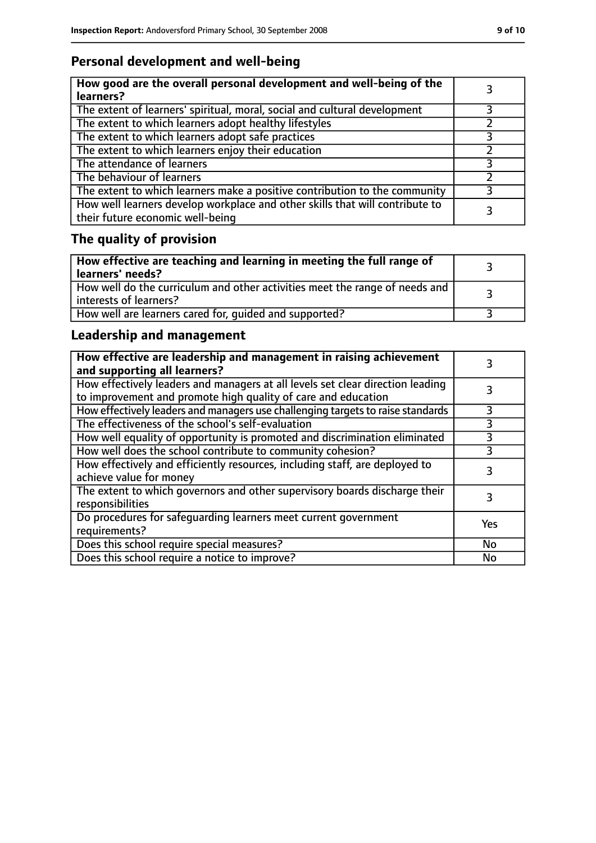## **Personal development and well-being**

| How good are the overall personal development and well-being of the<br>learners?                                 |  |
|------------------------------------------------------------------------------------------------------------------|--|
| The extent of learners' spiritual, moral, social and cultural development                                        |  |
| The extent to which learners adopt healthy lifestyles                                                            |  |
| The extent to which learners adopt safe practices                                                                |  |
| The extent to which learners enjoy their education                                                               |  |
| The attendance of learners                                                                                       |  |
| The behaviour of learners                                                                                        |  |
| The extent to which learners make a positive contribution to the community                                       |  |
| How well learners develop workplace and other skills that will contribute to<br>their future economic well-being |  |

# **The quality of provision**

| $\mid$ How effective are teaching and learning in meeting the full range of<br>  learners' needs?       |  |
|---------------------------------------------------------------------------------------------------------|--|
| How well do the curriculum and other activities meet the range of needs and<br>  interests of learners? |  |
| How well are learners cared for, quided and supported?                                                  |  |

## **Leadership and management**

| How effective are leadership and management in raising achievement<br>and supporting all learners?                                              |     |
|-------------------------------------------------------------------------------------------------------------------------------------------------|-----|
| How effectively leaders and managers at all levels set clear direction leading<br>to improvement and promote high quality of care and education |     |
| How effectively leaders and managers use challenging targets to raise standards                                                                 |     |
| The effectiveness of the school's self-evaluation                                                                                               | 3   |
| How well equality of opportunity is promoted and discrimination eliminated                                                                      | 3   |
| How well does the school contribute to community cohesion?                                                                                      | 3   |
| How effectively and efficiently resources, including staff, are deployed to<br>achieve value for money                                          | 3   |
| The extent to which governors and other supervisory boards discharge their<br>responsibilities                                                  |     |
| Do procedures for safequarding learners meet current government<br>requirements?                                                                | Yes |
| Does this school require special measures?                                                                                                      | No  |
| Does this school require a notice to improve?                                                                                                   | No  |